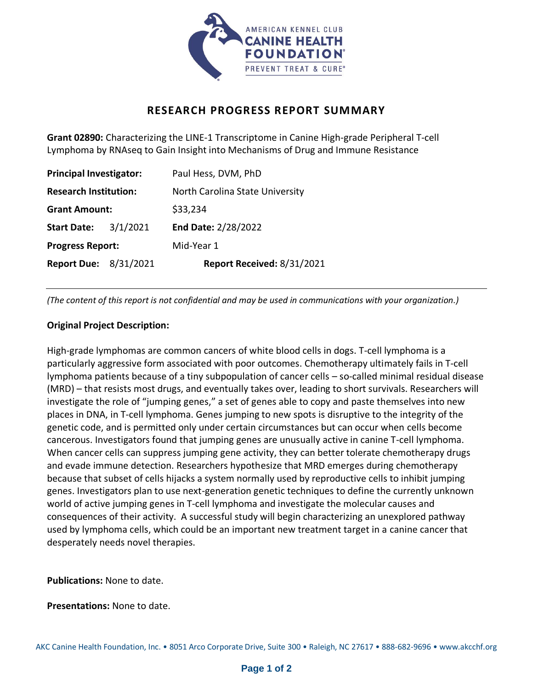

## **RESEARCH PROGRESS REPORT SUMMARY**

**Grant 02890:** Characterizing the LINE-1 Transcriptome in Canine High-grade Peripheral T-cell Lymphoma by RNAseq to Gain Insight into Mechanisms of Drug and Immune Resistance

| <b>Principal Investigator:</b> |          | Paul Hess, DVM, PhD             |
|--------------------------------|----------|---------------------------------|
| <b>Research Institution:</b>   |          | North Carolina State University |
| <b>Grant Amount:</b>           |          | \$33,234                        |
| <b>Start Date:</b>             | 3/1/2021 | End Date: 2/28/2022             |
| <b>Progress Report:</b>        |          | Mid-Year 1                      |
| <b>Report Due: 8/31/2021</b>   |          | Report Received: 8/31/2021      |

*(The content of this report is not confidential and may be used in communications with your organization.)*

## **Original Project Description:**

High-grade lymphomas are common cancers of white blood cells in dogs. T-cell lymphoma is a particularly aggressive form associated with poor outcomes. Chemotherapy ultimately fails in T-cell lymphoma patients because of a tiny subpopulation of cancer cells – so-called minimal residual disease (MRD) – that resists most drugs, and eventually takes over, leading to short survivals. Researchers will investigate the role of "jumping genes," a set of genes able to copy and paste themselves into new places in DNA, in T-cell lymphoma. Genes jumping to new spots is disruptive to the integrity of the genetic code, and is permitted only under certain circumstances but can occur when cells become cancerous. Investigators found that jumping genes are unusually active in canine T-cell lymphoma. When cancer cells can suppress jumping gene activity, they can better tolerate chemotherapy drugs and evade immune detection. Researchers hypothesize that MRD emerges during chemotherapy because that subset of cells hijacks a system normally used by reproductive cells to inhibit jumping genes. Investigators plan to use next-generation genetic techniques to define the currently unknown world of active jumping genes in T-cell lymphoma and investigate the molecular causes and consequences of their activity. A successful study will begin characterizing an unexplored pathway used by lymphoma cells, which could be an important new treatment target in a canine cancer that desperately needs novel therapies.

**Publications:** None to date.

**Presentations:** None to date.